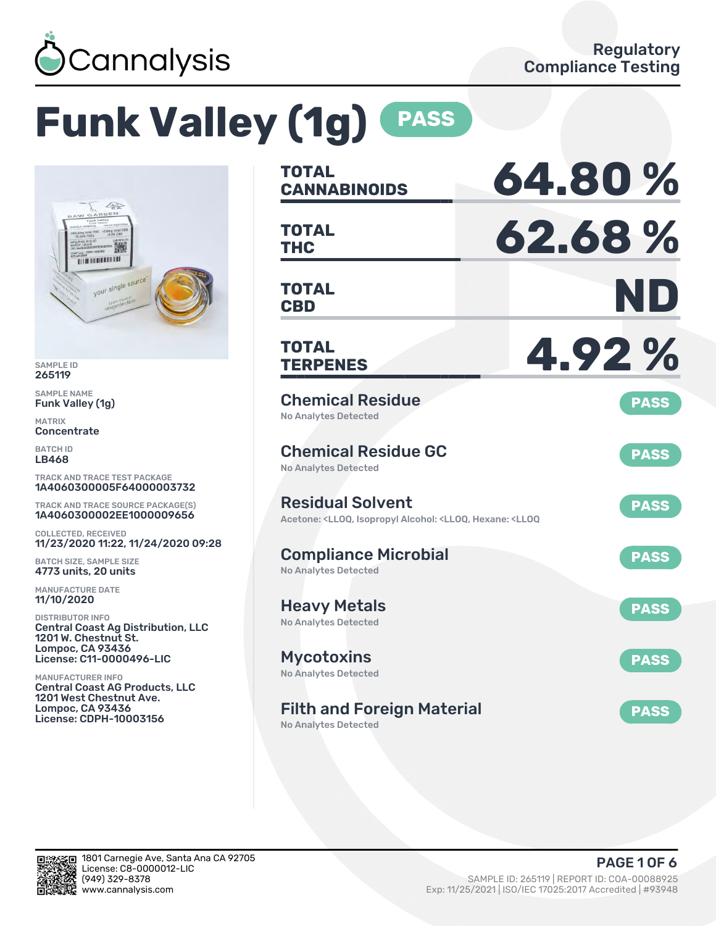

# **Funk Valley (1g) PASS**



SAMPLE ID 265119

SAMPLE NAME Funk Valley (1g)

MATRIX **Concentrate** 

BATCH ID LB468

TRACK AND TRACE TEST PACKAGE 1A4060300005F64000003732

TRACK AND TRACE SOURCE PACKAGE(S) 1A4060300002EE1000009656

COLLECTED, RECEIVED 11/23/2020 11:22, 11/24/2020 09:28

BATCH SIZE, SAMPLE SIZE 4773 units, 20 units

MANUFACTURE DATE 11/10/2020

DISTRIBUTOR INFO Central Coast Ag Distribution, LLC 1201 W. Chestnut St. Lompoc, CA 93436 License: C11-0000496-LIC

MANUFACTURER INFO Central Coast AG Products, LLC 1201 West Chestnut Ave. Lompoc, CA 93436 License: CDPH-10003156

| <b>TOTAL</b><br><b>CANNABINOIDS</b>                                                                                                   | 64.80%      |
|---------------------------------------------------------------------------------------------------------------------------------------|-------------|
| <b>TOTAL</b><br><b>THC</b>                                                                                                            | 62.68%      |
| <b>TOTAL</b><br><b>CBD</b>                                                                                                            | ND          |
| <b>TOTAL</b><br><b>TERPENES</b>                                                                                                       | 4.92%       |
| <b>Chemical Residue</b><br><b>No Analytes Detected</b>                                                                                | <b>PASS</b> |
| <b>Chemical Residue GC</b><br><b>No Analytes Detected</b>                                                                             | <b>PASS</b> |
| <b>Residual Solvent</b><br>Acetone: <lloq, <lloq,="" <lloq<="" alcohol:="" hexane:="" isopropyl="" td=""><td><b>PASS</b></td></lloq,> | <b>PASS</b> |
| <b>Compliance Microbial</b><br><b>No Analytes Detected</b>                                                                            | <b>PASS</b> |
| <b>Heavy Metals</b><br><b>No Analytes Detected</b>                                                                                    | <b>PASS</b> |
| <b>Mycotoxins</b><br>No Analytes Detected                                                                                             | <b>PASS</b> |
| <b>Filth and Foreign Material</b><br><b>No Analytes Detected</b>                                                                      | <b>PASS</b> |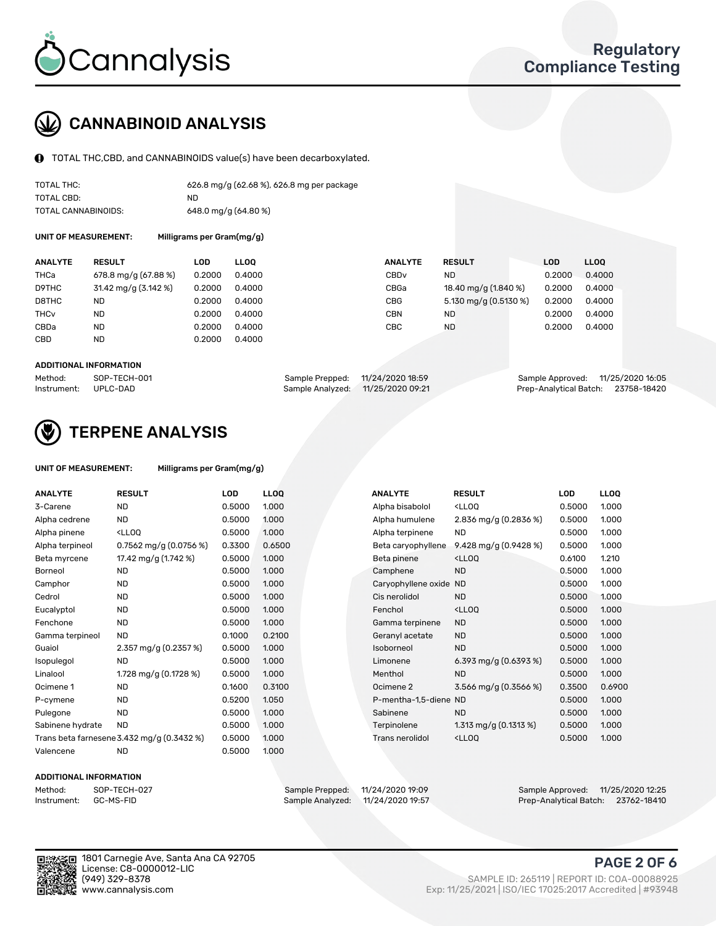

### CANNABINOID ANALYSIS

TOTAL THC,CBD, and CANNABINOIDS value(s) have been decarboxylated.

| TOTAL THC:          | 626.8 mg/g (62.68 %), 626.8 mg per package |
|---------------------|--------------------------------------------|
| TOTAL CBD:          | ND.                                        |
| TOTAL CANNABINOIDS: | 648.0 mg/g $(64.80\%)$                     |

UNIT OF MEASUREMENT: Milligrams per Gram(mg/g)

| <b>ANALYTE</b>         | <b>RESULT</b>        | LOD    | <b>LLOO</b> | <b>ANALYTE</b>   | <b>RESULT</b>         | <b>LOD</b> | LL <sub>00</sub> |
|------------------------|----------------------|--------|-------------|------------------|-----------------------|------------|------------------|
| THCa                   | 678.8 mg/g (67.88 %) | 0.2000 | 0.4000      | CBD <sub>v</sub> | ND.                   | 0.2000     | 0.4000           |
| D9THC                  | 31.42 mg/g (3.142 %) | 0.2000 | 0.4000      | CBGa             | 18.40 mg/g (1.840 %)  | 0.2000     | 0.4000           |
| D8THC                  | ND                   | 0.2000 | 0.4000      | <b>CBG</b>       | 5.130 mg/g (0.5130 %) | 0.2000     | 0.4000           |
| <b>THC<sub>v</sub></b> | ND                   | 0.2000 | 0.4000      | CBN              | ND.                   | 0.2000     | 0.4000           |
| CBDa                   | ND                   | 0.2000 | 0.4000      | СВС              | <b>ND</b>             | 0.2000     | 0.4000           |
| CBD                    | <b>ND</b>            | 0.2000 | 0.4000      |                  |                       |            |                  |
|                        |                      |        |             |                  |                       |            |                  |

#### ADDITIONAL INFORMATION

| Method:              | SOP-TECH-001 | Sample Prepped: 11/24/2020 18:59  | Sample Approved: 11/25/2020 16:05  |  |
|----------------------|--------------|-----------------------------------|------------------------------------|--|
| Instrument: UPLC-DAD |              | Sample Analyzed: 11/25/2020 09:21 | Prep-Analytical Batch: 23758-18420 |  |



### TERPENE ANALYSIS

| UNIT OF MEASUREMENT: | Milligrams per Gram(mg/g) |
|----------------------|---------------------------|
|----------------------|---------------------------|

| <b>ANALYTE</b>   | <b>RESULT</b>                                                                                                             | <b>LOD</b> | <b>LLOQ</b> | <b>ANALYTE</b>         | <b>RESULT</b>                                      | <b>LOD</b> | <b>LLOQ</b> |
|------------------|---------------------------------------------------------------------------------------------------------------------------|------------|-------------|------------------------|----------------------------------------------------|------------|-------------|
| 3-Carene         | <b>ND</b>                                                                                                                 | 0.5000     | 1.000       | Alpha bisabolol        | <lloq< td=""><td>0.5000</td><td>1.000</td></lloq<> | 0.5000     | 1.000       |
| Alpha cedrene    | ND.                                                                                                                       | 0.5000     | 1.000       | Alpha humulene         | 2.836 mg/g $(0.2836\%)$                            | 0.5000     | 1.000       |
| Alpha pinene     | <lloq< td=""><td>0.5000</td><td>1.000</td><td>Alpha terpinene</td><td><b>ND</b></td><td>0.5000</td><td>1.000</td></lloq<> | 0.5000     | 1.000       | Alpha terpinene        | <b>ND</b>                                          | 0.5000     | 1.000       |
| Alpha terpineol  | 0.7562 mg/g $(0.0756\%)$                                                                                                  | 0.3300     | 0.6500      | Beta caryophyllene     | 9.428 mg/g (0.9428 %)                              | 0.5000     | 1.000       |
| Beta myrcene     | 17.42 mg/g (1.742 %)                                                                                                      | 0.5000     | 1.000       | Beta pinene            | <lloq< td=""><td>0.6100</td><td>1.210</td></lloq<> | 0.6100     | 1.210       |
| Borneol          | <b>ND</b>                                                                                                                 | 0.5000     | 1.000       | Camphene               | <b>ND</b>                                          | 0.5000     | 1.000       |
| Camphor          | ND                                                                                                                        | 0.5000     | 1.000       | Caryophyllene oxide ND |                                                    | 0.5000     | 1.000       |
| Cedrol           | <b>ND</b>                                                                                                                 | 0.5000     | 1.000       | Cis nerolidol          | <b>ND</b>                                          | 0.5000     | 1.000       |
| Eucalyptol       | <b>ND</b>                                                                                                                 | 0.5000     | 1.000       | Fenchol                | <lloq< td=""><td>0.5000</td><td>1.000</td></lloq<> | 0.5000     | 1.000       |
| Fenchone         | <b>ND</b>                                                                                                                 | 0.5000     | 1.000       | Gamma terpinene        | <b>ND</b>                                          | 0.5000     | 1.000       |
| Gamma terpineol  | <b>ND</b>                                                                                                                 | 0.1000     | 0.2100      | Geranyl acetate        | <b>ND</b>                                          | 0.5000     | 1.000       |
| Guaiol           | 2.357 mg/g $(0.2357%)$                                                                                                    | 0.5000     | 1.000       | Isoborneol             | <b>ND</b>                                          | 0.5000     | 1.000       |
| Isopulegol       | <b>ND</b>                                                                                                                 | 0.5000     | 1.000       | Limonene               | 6.393 mg/g $(0.6393\%)$                            | 0.5000     | 1.000       |
| Linalool         | 1.728 mg/g $(0.1728\%)$                                                                                                   | 0.5000     | 1.000       | Menthol                | <b>ND</b>                                          | 0.5000     | 1.000       |
| Ocimene 1        | <b>ND</b>                                                                                                                 | 0.1600     | 0.3100      | Ocimene 2              | 3.566 mg/g (0.3566 %)                              | 0.3500     | 0.6900      |
| P-cymene         | <b>ND</b>                                                                                                                 | 0.5200     | 1.050       | P-mentha-1,5-diene ND  |                                                    | 0.5000     | 1.000       |
| Pulegone         | <b>ND</b>                                                                                                                 | 0.5000     | 1.000       | Sabinene               | <b>ND</b>                                          | 0.5000     | 1.000       |
| Sabinene hydrate | <b>ND</b>                                                                                                                 | 0.5000     | 1.000       | Terpinolene            | 1.313 mg/g $(0.1313%)$                             | 0.5000     | 1.000       |
|                  | Trans beta farnesene 3.432 mg/g (0.3432 %)                                                                                | 0.5000     | 1.000       | Trans nerolidol        | <lloq< td=""><td>0.5000</td><td>1.000</td></lloq<> | 0.5000     | 1.000       |
| Valencene        | <b>ND</b>                                                                                                                 | 0.5000     | 1.000       |                        |                                                    |            |             |

#### ADDITIONAL INFORMATION



Method: SOP-TECH-027 Sample Prepped: 11/24/2020 19:09 Sample Approved: 11/25/2020 12:25 Prep-Analytical Batch: 23762-18410

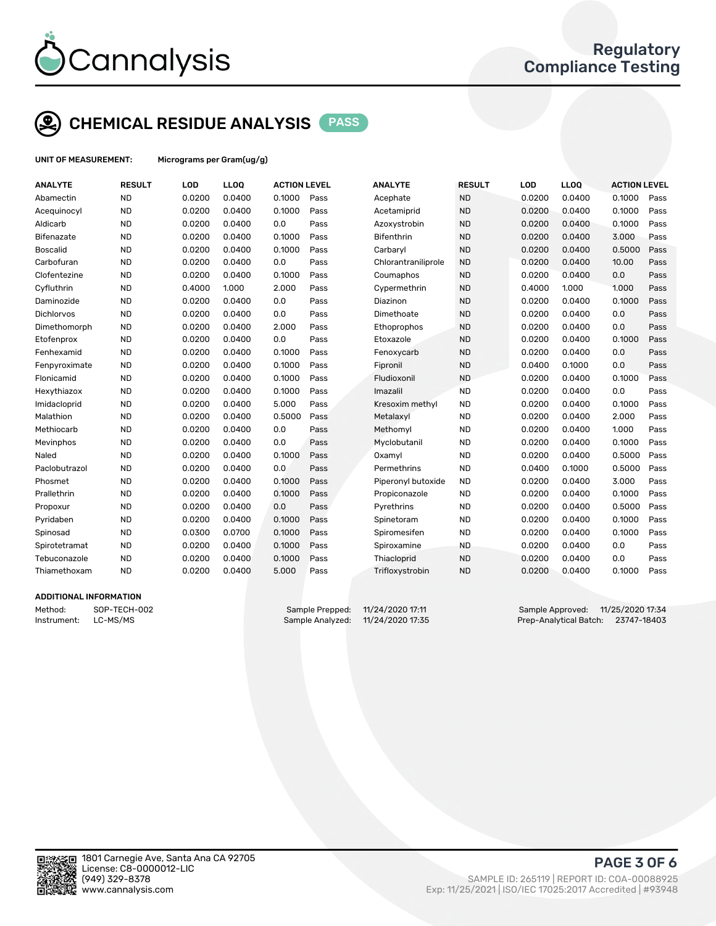

# CHEMICAL RESIDUE ANALYSIS PASS

UNIT OF MEASUREMENT: Micrograms per Gram(ug/g)

| <b>ANALYTE</b>    | <b>RESULT</b> | LOD    | LLOQ   | <b>ACTION LEVEL</b> |      | <b>ANALYTE</b>      | <b>RESULT</b> | LOD    | LLOQ   | <b>ACTION LEVEL</b> |      |
|-------------------|---------------|--------|--------|---------------------|------|---------------------|---------------|--------|--------|---------------------|------|
| Abamectin         | <b>ND</b>     | 0.0200 | 0.0400 | 0.1000              | Pass | Acephate            | <b>ND</b>     | 0.0200 | 0.0400 | 0.1000              | Pass |
| Acequinocyl       | <b>ND</b>     | 0.0200 | 0.0400 | 0.1000              | Pass | Acetamiprid         | <b>ND</b>     | 0.0200 | 0.0400 | 0.1000              | Pass |
| Aldicarb          | <b>ND</b>     | 0.0200 | 0.0400 | 0.0                 | Pass | Azoxystrobin        | <b>ND</b>     | 0.0200 | 0.0400 | 0.1000              | Pass |
| <b>Bifenazate</b> | <b>ND</b>     | 0.0200 | 0.0400 | 0.1000              | Pass | <b>Bifenthrin</b>   | <b>ND</b>     | 0.0200 | 0.0400 | 3.000               | Pass |
| <b>Boscalid</b>   | <b>ND</b>     | 0.0200 | 0.0400 | 0.1000              | Pass | Carbaryl            | <b>ND</b>     | 0.0200 | 0.0400 | 0.5000              | Pass |
| Carbofuran        | <b>ND</b>     | 0.0200 | 0.0400 | 0.0                 | Pass | Chlorantraniliprole | <b>ND</b>     | 0.0200 | 0.0400 | 10.00               | Pass |
| Clofentezine      | <b>ND</b>     | 0.0200 | 0.0400 | 0.1000              | Pass | Coumaphos           | <b>ND</b>     | 0.0200 | 0.0400 | 0.0                 | Pass |
| Cyfluthrin        | <b>ND</b>     | 0.4000 | 1.000  | 2.000               | Pass | Cypermethrin        | <b>ND</b>     | 0.4000 | 1.000  | 1.000               | Pass |
| Daminozide        | <b>ND</b>     | 0.0200 | 0.0400 | 0.0                 | Pass | Diazinon            | <b>ND</b>     | 0.0200 | 0.0400 | 0.1000              | Pass |
| <b>Dichlorvos</b> | <b>ND</b>     | 0.0200 | 0.0400 | 0.0                 | Pass | Dimethoate          | <b>ND</b>     | 0.0200 | 0.0400 | 0.0                 | Pass |
| Dimethomorph      | <b>ND</b>     | 0.0200 | 0.0400 | 2.000               | Pass | Ethoprophos         | <b>ND</b>     | 0.0200 | 0.0400 | 0.0                 | Pass |
| Etofenprox        | <b>ND</b>     | 0.0200 | 0.0400 | 0.0                 | Pass | Etoxazole           | <b>ND</b>     | 0.0200 | 0.0400 | 0.1000              | Pass |
| Fenhexamid        | <b>ND</b>     | 0.0200 | 0.0400 | 0.1000              | Pass | Fenoxycarb          | <b>ND</b>     | 0.0200 | 0.0400 | 0.0                 | Pass |
| Fenpyroximate     | <b>ND</b>     | 0.0200 | 0.0400 | 0.1000              | Pass | Fipronil            | <b>ND</b>     | 0.0400 | 0.1000 | 0.0                 | Pass |
| Flonicamid        | <b>ND</b>     | 0.0200 | 0.0400 | 0.1000              | Pass | Fludioxonil         | <b>ND</b>     | 0.0200 | 0.0400 | 0.1000              | Pass |
| Hexythiazox       | <b>ND</b>     | 0.0200 | 0.0400 | 0.1000              | Pass | Imazalil            | <b>ND</b>     | 0.0200 | 0.0400 | 0.0                 | Pass |
| Imidacloprid      | <b>ND</b>     | 0.0200 | 0.0400 | 5.000               | Pass | Kresoxim methyl     | <b>ND</b>     | 0.0200 | 0.0400 | 0.1000              | Pass |
| Malathion         | <b>ND</b>     | 0.0200 | 0.0400 | 0.5000              | Pass | Metalaxyl           | <b>ND</b>     | 0.0200 | 0.0400 | 2.000               | Pass |
| Methiocarb        | <b>ND</b>     | 0.0200 | 0.0400 | 0.0                 | Pass | Methomyl            | <b>ND</b>     | 0.0200 | 0.0400 | 1.000               | Pass |
| Mevinphos         | <b>ND</b>     | 0.0200 | 0.0400 | 0.0                 | Pass | Myclobutanil        | <b>ND</b>     | 0.0200 | 0.0400 | 0.1000              | Pass |
| Naled             | <b>ND</b>     | 0.0200 | 0.0400 | 0.1000              | Pass | Oxamyl              | <b>ND</b>     | 0.0200 | 0.0400 | 0.5000              | Pass |
| Paclobutrazol     | <b>ND</b>     | 0.0200 | 0.0400 | 0.0                 | Pass | Permethrins         | <b>ND</b>     | 0.0400 | 0.1000 | 0.5000              | Pass |
| Phosmet           | <b>ND</b>     | 0.0200 | 0.0400 | 0.1000              | Pass | Piperonyl butoxide  | <b>ND</b>     | 0.0200 | 0.0400 | 3.000               | Pass |
| Prallethrin       | <b>ND</b>     | 0.0200 | 0.0400 | 0.1000              | Pass | Propiconazole       | <b>ND</b>     | 0.0200 | 0.0400 | 0.1000              | Pass |
| Propoxur          | <b>ND</b>     | 0.0200 | 0.0400 | 0.0                 | Pass | Pyrethrins          | <b>ND</b>     | 0.0200 | 0.0400 | 0.5000              | Pass |
| Pyridaben         | <b>ND</b>     | 0.0200 | 0.0400 | 0.1000              | Pass | Spinetoram          | <b>ND</b>     | 0.0200 | 0.0400 | 0.1000              | Pass |
| Spinosad          | <b>ND</b>     | 0.0300 | 0.0700 | 0.1000              | Pass | Spiromesifen        | <b>ND</b>     | 0.0200 | 0.0400 | 0.1000              | Pass |
| Spirotetramat     | <b>ND</b>     | 0.0200 | 0.0400 | 0.1000              | Pass | Spiroxamine         | <b>ND</b>     | 0.0200 | 0.0400 | 0.0                 | Pass |
| Tebuconazole      | <b>ND</b>     | 0.0200 | 0.0400 | 0.1000              | Pass | Thiacloprid         | <b>ND</b>     | 0.0200 | 0.0400 | 0.0                 | Pass |
| Thiamethoxam      | <b>ND</b>     | 0.0200 | 0.0400 | 5.000               | Pass | Trifloxystrobin     | <b>ND</b>     | 0.0200 | 0.0400 | 0.1000              | Pass |
|                   |               |        |        |                     |      |                     |               |        |        |                     |      |

### ADDITIONAL INFORMATION

Method: SOP-TECH-002 Sample Prepped: 11/24/2020 17:11 Sample Approved: 11/25/2020 17:34<br>Sample Analyzed: 11/24/2020 17:35 Prep-Analytical Batch: 23747-18403 Instrument: LC-MS/MS Sample Analyzed: 11/24/2020 17:35 Prep-Analytical Batch: 23747-18403



PAGE 3 OF 6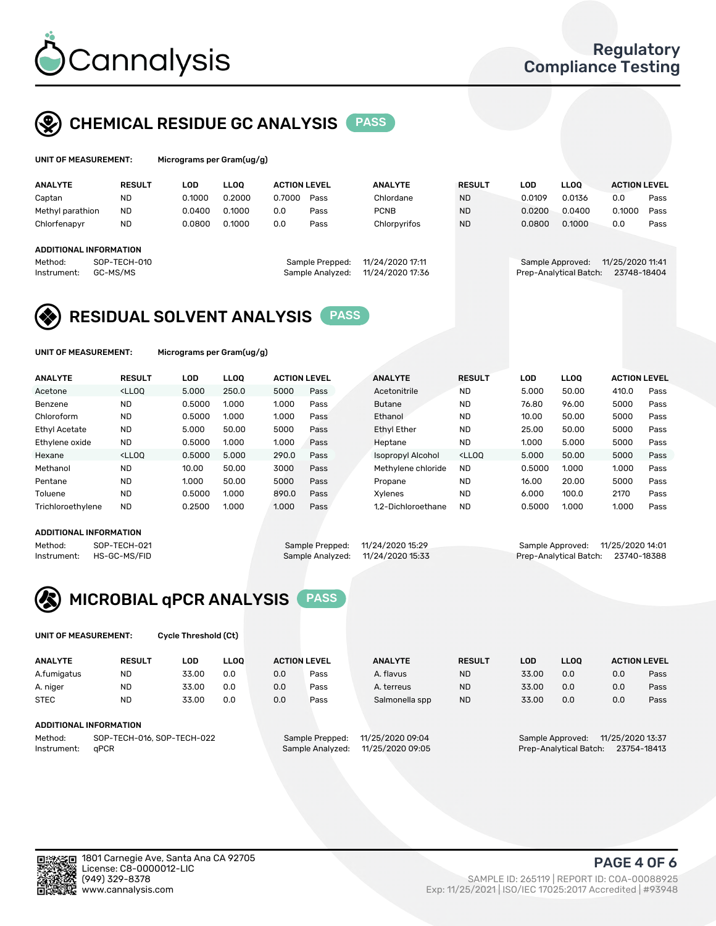

### CHEMICAL RESIDUE GC ANALYSIS PASS

| UNIT OF MEASUREMENT: |        | Micrograms per Gram(ug/g) |  |
|----------------------|--------|---------------------------|--|
| . <i>.</i>           | ------ |                           |  |

|  |  | Micrograms per Gram(ug/g) |  |
|--|--|---------------------------|--|
|--|--|---------------------------|--|

| <b>ANALYTE</b>          | <b>RESULT</b> | LOD    | <b>LLOO</b> |                 | <b>ACTION LEVEL</b><br><b>ANALYTE</b> |                  | <b>RESULT</b> | LOD              | <b>LLOO</b>            | <b>ACTION LEVEL</b> |      |
|-------------------------|---------------|--------|-------------|-----------------|---------------------------------------|------------------|---------------|------------------|------------------------|---------------------|------|
| Captan                  | <b>ND</b>     | 0.1000 | 0.2000      | 0.7000          | Pass                                  | Chlordane        | <b>ND</b>     | 0.0109           | 0.0136                 | 0.0                 | Pass |
| Methyl parathion        | <b>ND</b>     | 0.0400 | 0.1000      | 0.0             | Pass                                  | <b>PCNB</b>      | <b>ND</b>     | 0.0200           | 0.0400                 | 0.1000              | Pass |
| Chlorfenapyr            | <b>ND</b>     | 0.0800 | 0.1000      | 0.0             | Pass                                  | Chlorpyrifos     | <b>ND</b>     | 0.0800           | 0.1000                 | 0.0                 | Pass |
| ADDITIONAL INFORMATION  |               |        |             |                 |                                       |                  |               |                  |                        |                     |      |
| Method:<br>SOP-TECH-010 |               |        |             | Sample Prepped: | 11/24/2020 17:11                      |                  |               | Sample Approved: | 11/25/2020 11:41       |                     |      |
| Instrument:             | GC-MS/MS      |        |             |                 | Sample Analyzed:                      | 11/24/2020 17:36 |               |                  | Prep-Analytical Batch: | 23748-18404         |      |

### RESIDUAL SOLVENT ANALYSIS PASS

UNIT OF MEASUREMENT: Micrograms per Gram(ug/g)

| <b>ANALYTE</b>       | <b>RESULT</b>                                                                                                                                                                                      | LOD    | <b>LLOO</b> | <b>ACTION LEVEL</b> |      | <b>ANALYTE</b>           | <b>RESULT</b>                                                               | LOD    | LLOO  | <b>ACTION LEVEL</b> |      |
|----------------------|----------------------------------------------------------------------------------------------------------------------------------------------------------------------------------------------------|--------|-------------|---------------------|------|--------------------------|-----------------------------------------------------------------------------|--------|-------|---------------------|------|
| Acetone              | <lloo< td=""><td>5.000</td><td>250.0</td><td>5000</td><td>Pass</td><td>Acetonitrile</td><td><b>ND</b></td><td>5.000</td><td>50.00</td><td>410.0</td><td>Pass</td></lloo<>                          | 5.000  | 250.0       | 5000                | Pass | Acetonitrile             | <b>ND</b>                                                                   | 5.000  | 50.00 | 410.0               | Pass |
| Benzene              | <b>ND</b>                                                                                                                                                                                          | 0.5000 | 1.000       | 1.000               | Pass | <b>Butane</b>            | <b>ND</b>                                                                   | 76.80  | 96.00 | 5000                | Pass |
| Chloroform           | <b>ND</b>                                                                                                                                                                                          | 0.5000 | 1.000       | 1.000               | Pass | Ethanol                  | <b>ND</b>                                                                   | 10.00  | 50.00 | 5000                | Pass |
| <b>Ethyl Acetate</b> | <b>ND</b>                                                                                                                                                                                          | 5.000  | 50.00       | 5000                | Pass | <b>Ethyl Ether</b>       | <b>ND</b>                                                                   | 25.00  | 50.00 | 5000                | Pass |
| Ethylene oxide       | <b>ND</b>                                                                                                                                                                                          | 0.5000 | 1.000       | 1.000               | Pass | Heptane                  | <b>ND</b>                                                                   | 1.000  | 5.000 | 5000                | Pass |
| Hexane               | <lloo< td=""><td>0.5000</td><td>5.000</td><td>290.0</td><td>Pass</td><td><b>Isopropyl Alcohol</b></td><td><lloo< td=""><td>5.000</td><td>50.00</td><td>5000</td><td>Pass</td></lloo<></td></lloo<> | 0.5000 | 5.000       | 290.0               | Pass | <b>Isopropyl Alcohol</b> | <lloo< td=""><td>5.000</td><td>50.00</td><td>5000</td><td>Pass</td></lloo<> | 5.000  | 50.00 | 5000                | Pass |
| Methanol             | <b>ND</b>                                                                                                                                                                                          | 10.00  | 50.00       | 3000                | Pass | Methylene chloride       | <b>ND</b>                                                                   | 0.5000 | 1.000 | 1.000               | Pass |
| Pentane              | <b>ND</b>                                                                                                                                                                                          | 1.000  | 50.00       | 5000                | Pass | Propane                  | <b>ND</b>                                                                   | 16.00  | 20.00 | 5000                | Pass |
| Toluene              | <b>ND</b>                                                                                                                                                                                          | 0.5000 | 1.000       | 890.0               | Pass | Xvlenes                  | <b>ND</b>                                                                   | 6.000  | 100.0 | 2170                | Pass |
| Trichloroethylene    | <b>ND</b>                                                                                                                                                                                          | 0.2500 | 1.000       | 1.000               | Pass | 1.2-Dichloroethane       | <b>ND</b>                                                                   | 0.5000 | 1.000 | 1.000               | Pass |

#### ADDITIONAL INFORMATION

Method: SOP-TECH-021 Sample Prepped: 11/24/2020 15:29 Sample Approved: 11/25/2020 14:01<br>Instrument: HS-GC-MS/FID Sample Analyzed: 11/24/2020 15:33 Prep-Analytical Batch: 23740-18388

Prep-Analytical Batch: 23740-18388

# MICROBIAL qPCR ANALYSIS PASS

UNIT OF MEASUREMENT: Cycle Threshold (Ct)

| <b>ANALYTE</b> | <b>RESULT</b>              | LOD   | <b>LLOO</b> | <b>ACTION LEVEL</b> |                 | <b>ANALYTE</b>   | <b>RESULT</b><br>LOD |       | <b>LLOO</b>      |                  | <b>ACTION LEVEL</b> |
|----------------|----------------------------|-------|-------------|---------------------|-----------------|------------------|----------------------|-------|------------------|------------------|---------------------|
| A.fumigatus    | <b>ND</b>                  | 33.00 | 0.0         | 0.0                 | Pass            | A. flavus        | <b>ND</b>            | 33.00 | 0.0              | 0.0              | Pass                |
| A. niger       | <b>ND</b>                  | 33.00 | 0.0         | 0.0                 | Pass            | A. terreus       | <b>ND</b>            | 33.00 | 0.0              | 0.0              | Pass                |
| <b>STEC</b>    | <b>ND</b>                  | 33.00 | 0.0         | 0.0                 | Pass            | Salmonella spp   | <b>ND</b>            | 33.00 | 0.0              | 0.0              | Pass                |
|                | ADDITIONAL INFORMATION     |       |             |                     |                 |                  |                      |       |                  |                  |                     |
| Method:        | SOP-TECH-016, SOP-TECH-022 |       |             |                     | Sample Prepped: | 11/25/2020 09:04 |                      |       | Sample Approved: | 11/25/2020 13:37 |                     |

Instrument: qPCR Sample Analyzed: 11/25/2020 09:05 Prep-Analytical Batch: 23754-18413

PAGE 4 OF 6

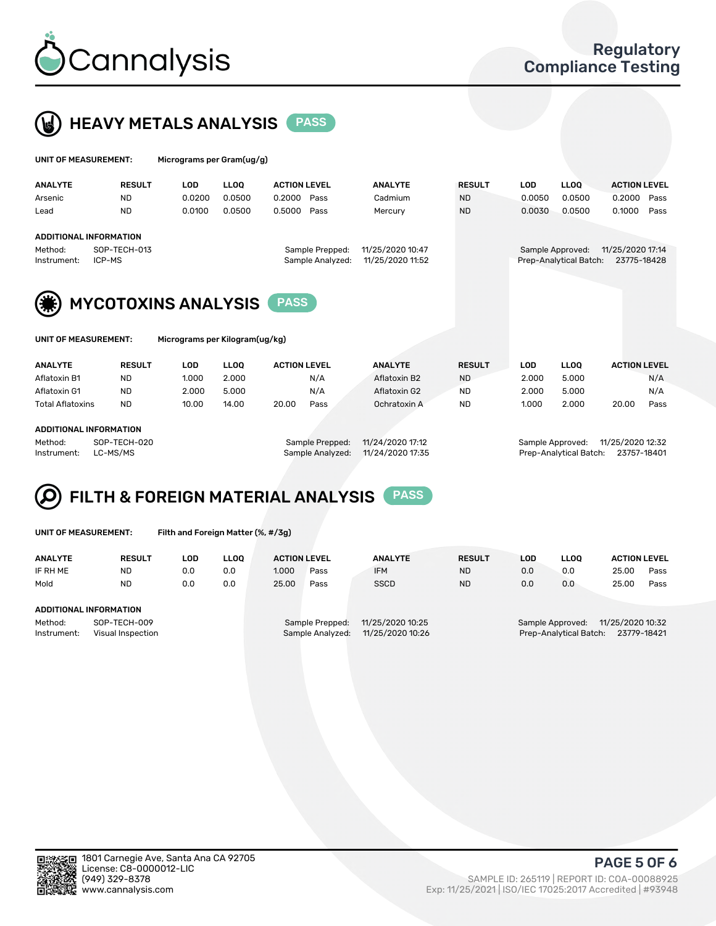



| UNIT OF MEASUREMENT:                                   | Micrograms per Gram(ug/g)  |                     |                  |               |            |                        |                     |  |
|--------------------------------------------------------|----------------------------|---------------------|------------------|---------------|------------|------------------------|---------------------|--|
| <b>ANALYTE</b><br><b>RESULT</b>                        | <b>LLOO</b><br><b>LOD</b>  | <b>ACTION LEVEL</b> | <b>ANALYTE</b>   | <b>RESULT</b> | <b>LOD</b> | <b>LLOO</b>            | <b>ACTION LEVEL</b> |  |
| <b>ND</b><br>Arsenic                                   | 0.0200<br>0.0500           | 0.2000<br>Pass      | Cadmium          | <b>ND</b>     | 0.0050     | 0.0500                 | 0.2000<br>Pass      |  |
| <b>ND</b><br>Lead                                      | 0.0100<br>0.0500           | 0.5000<br>Pass      | Mercury          | <b>ND</b>     | 0.0030     | 0.0500                 | 0.1000<br>Pass      |  |
| ADDITIONAL INFORMATION                                 |                            |                     |                  |               |            |                        |                     |  |
| SOP-TECH-013<br>Method:                                |                            | Sample Prepped:     | 11/25/2020 10:47 |               |            | Sample Approved:       | 11/25/2020 17:14    |  |
| ICP-MS<br>Instrument:                                  |                            | Sample Analyzed:    | 11/25/2020 11:52 |               |            | Prep-Analytical Batch: | 23775-18428         |  |
| (纂)                                                    | <b>MYCOTOXINS ANALYSIS</b> | <b>PASS</b>         |                  |               |            |                        |                     |  |
| UNIT OF MEASUREMENT:<br>Micrograms per Kilogram(ug/kg) |                            |                     |                  |               |            |                        |                     |  |

| <b>ANALYTE</b>          | <b>RESULT</b> | LOD   | <b>LLOO</b> | <b>ACTION LEVEL</b> |      | <b>ANALYTE</b> | <b>RESULT</b> | LOD.  | <b>LLOO</b> | <b>ACTION LEVEL</b> |      |
|-------------------------|---------------|-------|-------------|---------------------|------|----------------|---------------|-------|-------------|---------------------|------|
| Aflatoxin B1            | <b>ND</b>     | 1.000 | 2.000       |                     | N/A  | Aflatoxin B2   | <b>ND</b>     | 2.000 | 5.000       |                     | N/A  |
| Aflatoxin G1            | <b>ND</b>     | 2.000 | 5.000       |                     | N/A  | Aflatoxin G2   | ND            | 2.000 | 5.000       |                     | N/A  |
| <b>Total Aflatoxins</b> | <b>ND</b>     | 10.00 | 14.00       | 20.00               | Pass | Ochratoxin A   | <b>ND</b>     | 1.000 | 2.000       | 20.00               | Pass |
|                         |               |       |             |                     |      |                |               |       |             |                     |      |
| ADDITIONAL INFORMATION  |               |       |             |                     |      |                |               |       |             |                     |      |

Method: SOP-TECH-020 Sample Prepped: 11/24/2020 17:12 Sample Approved: 11/25/2020 12:32 Instrument: LC-MS/MS Sample Analyzed: 11/24/2020 17:35 Prep-Analytical Batch: 23757-18401

#### FILTH & FOREIGN MATERIAL ANALYSIS PASS Q

UNIT OF MEASUREMENT: Filth and Foreign Matter (%, #/3g)

| <b>ANALYTE</b>                                              | <b>RESULT</b> | LOD. | <b>LLOO</b> | <b>ACTION LEVEL</b> |                                     | <b>ANALYTE</b>                       | <b>RESULT</b> | LOD | <b>LLOO</b> | <b>ACTION LEVEL</b>                                                           |      |  |  |
|-------------------------------------------------------------|---------------|------|-------------|---------------------|-------------------------------------|--------------------------------------|---------------|-----|-------------|-------------------------------------------------------------------------------|------|--|--|
| IF RH ME                                                    | <b>ND</b>     | 0.0  | 0.0         | 1.000               | Pass                                | <b>IFM</b>                           | <b>ND</b>     | 0.0 | 0.0         | 25.00                                                                         | Pass |  |  |
| Mold                                                        | <b>ND</b>     | 0.0  | 0.0         | 25.00               | Pass                                | <b>SSCD</b>                          | <b>ND</b>     | 0.0 | 0.0         | 25.00                                                                         | Pass |  |  |
| ADDITIONAL INFORMATION                                      |               |      |             |                     |                                     |                                      |               |     |             |                                                                               |      |  |  |
| Method:<br>SOP-TECH-009<br>Instrument:<br>Visual Inspection |               |      |             |                     | Sample Prepped:<br>Sample Analyzed: | 11/25/2020 10:25<br>11/25/2020 10:26 |               |     |             | 11/25/2020 10:32<br>Sample Approved:<br>Prep-Analytical Batch:<br>23779-18421 |      |  |  |